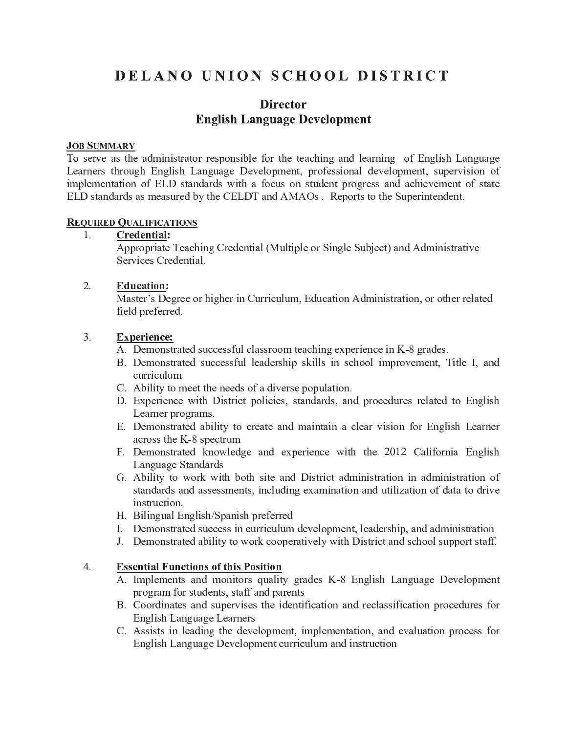# DELANO UNION SCHOOL DISTRICT

# **Director English Language Development**

### **JOB SUMMARY**

To serve as the administrator responsible for the teaching and learning of English Language Learners through English Language Development, professional development, supervision of implementation of ELD standards with a focus on student progress and achievement of state ELD standards as measured by the CELDT and AMAOs. Reports to the Superintendent.

## **REQUIRED QUALIFICATIONS**

Credential:  $1.$ 

Appropriate Teaching Credential (Multiple or Single Subject) and Administrative Services Credential.

#### $2.$ **Education:**

Master's Degree or higher in Curriculum, Education Administration, or other related field preferred.

#### $3.$ **Experience:**

- A. Demonstrated successful classroom teaching experience in K-8 grades.
- B. Demonstrated successful leadership skills in school improvement, Title I, and curriculum
- C. Ability to meet the needs of a diverse population.
- D. Experience with District policies, standards, and procedures related to English Learner programs.
- E. Demonstrated ability to create and maintain a clear vision for English Learner across the K-8 spectrum
- F. Demonstrated knowledge and experience with the 2012 California English Language Standards
- G. Ability to work with both site and District administration in administration of standards and assessments, including examination and utilization of data to drive instruction.
- H. Bilingual English/Spanish preferred
- I. Demonstrated success in curriculum development, leadership, and administration
- J. Demonstrated ability to work cooperatively with District and school support staff.

#### $4.$ **Essential Functions of this Position**

- A. Implements and monitors quality grades K-8 English Language Development program for students, staff and parents
- B. Coordinates and supervises the identification and reclassification procedures for English Language Learners
- C. Assists in leading the development, implementation, and evaluation process for English Language Development curriculum and instruction